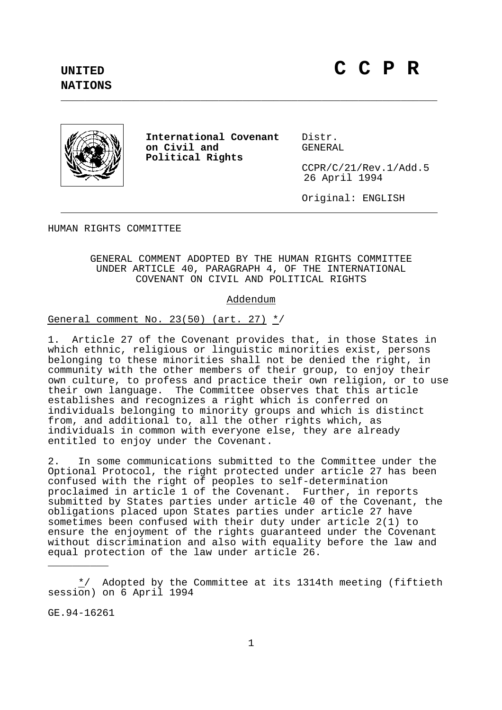**NATIONS**



**International Covenant** Distr. on Civil and **Political Rights**

CCPR/C/21/Rev.1/Add.5 26 April 1994

Original: ENGLISH

HUMAN RIGHTS COMMITTEE

GENERAL COMMENT ADOPTED BY THE HUMAN RIGHTS COMMITTEE UNDER ARTICLE 40, PARAGRAPH 4, OF THE INTERNATIONAL COVENANT ON CIVIL AND POLITICAL RIGHTS

\_\_\_\_\_\_\_\_\_\_\_\_\_\_\_\_\_\_\_\_\_\_\_\_\_\_\_\_\_\_\_\_\_\_\_\_\_\_\_\_\_\_\_\_\_\_\_\_\_\_\_\_\_\_\_\_\_\_\_\_\_\_

## Addendum

General comment No. 23(50) (art. 27) \*/

1. Article 27 of the Covenant provides that, in those States in which ethnic, religious or linguistic minorities exist, persons belonging to these minorities shall not be denied the right, in community with the other members of their group, to enjoy their own culture, to profess and practice their own religion, or to use their own language. The Committee observes that this article establishes and recognizes a right which is conferred on individuals belonging to minority groups and which is distinct from, and additional to, all the other rights which, as individuals in common with everyone else, they are already entitled to enjoy under the Covenant.

2. In some communications submitted to the Committee under the Optional Protocol, the right protected under article 27 has been confused with the right of peoples to self-determination proclaimed in article 1 of the Covenant. Further, in reports submitted by States parties under article 40 of the Covenant, the obligations placed upon States parties under article 27 have sometimes been confused with their duty under article 2(1) to ensure the enjoyment of the rights guaranteed under the Covenant without discrimination and also with equality before the law and equal protection of the law under article 26.

 $*$  Adopted by the Committee at its 1314th meeting (fiftieth session) on 6 April 1994

GE.94-16261

\_\_\_\_\_\_\_\_\_\_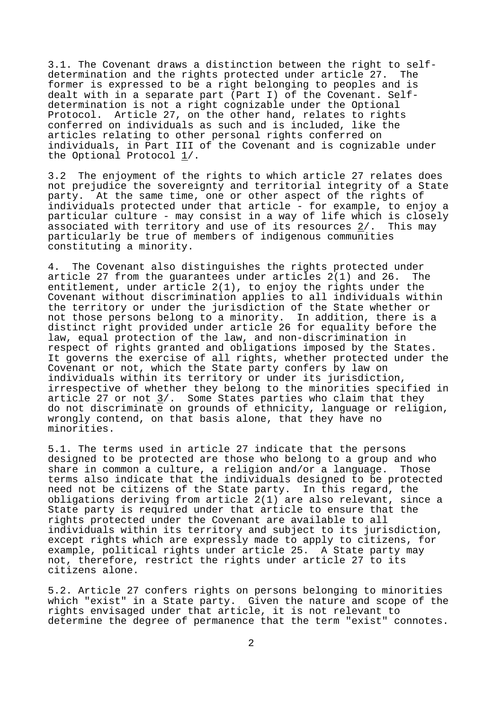3.1. The Covenant draws a distinction between the right to selfdetermination and the rights protected under article 27. The former is expressed to be a right belonging to peoples and is dealt with in a separate part (Part I) of the Covenant. Selfdetermination is not a right cognizable under the Optional Protocol. Article 27, on the other hand, relates to rights conferred on individuals as such and is included, like the articles relating to other personal rights conferred on individuals, in Part III of the Covenant and is cognizable under the Optional Protocol 1/.

3.2 The enjoyment of the rights to which article 27 relates does not prejudice the sovereignty and territorial integrity of a State party. At the same time, one or other aspect of the rights of individuals protected under that article - for example, to enjoy a particular culture - may consist in a way of life which is closely associated with territory and use of its resources 2/. This may particularly be true of members of indigenous communities constituting a minority.

4. The Covenant also distinguishes the rights protected under article 27 from the guarantees under articles 2(1) and 26. The entitlement, under article 2(1), to enjoy the rights under the Covenant without discrimination applies to all individuals within the territory or under the jurisdiction of the State whether or not those persons belong to a minority. In addition, there is a distinct right provided under article 26 for equality before the law, equal protection of the law, and non-discrimination in respect of rights granted and obligations imposed by the States. It governs the exercise of all rights, whether protected under the Covenant or not, which the State party confers by law on individuals within its territory or under its jurisdiction, irrespective of whether they belong to the minorities specified in article 27 or not  $3/$ . Some States parties who claim that they do not discriminate on grounds of ethnicity, language or religion, wrongly contend, on that basis alone, that they have no minorities.

5.1. The terms used in article 27 indicate that the persons designed to be protected are those who belong to a group and who share in common a culture, a religion and/or a language. Those terms also indicate that the individuals designed to be protected need not be citizens of the State party. In this regard, the obligations deriving from article 2(1) are also relevant, since a State party is required under that article to ensure that the rights protected under the Covenant are available to all individuals within its territory and subject to its jurisdiction, except rights which are expressly made to apply to citizens, for example, political rights under article 25. A State party may not, therefore, restrict the rights under article 27 to its citizens alone.

5.2. Article 27 confers rights on persons belonging to minorities which "exist" in a State party. Given the nature and scope of the rights envisaged under that article, it is not relevant to determine the degree of permanence that the term "exist" connotes.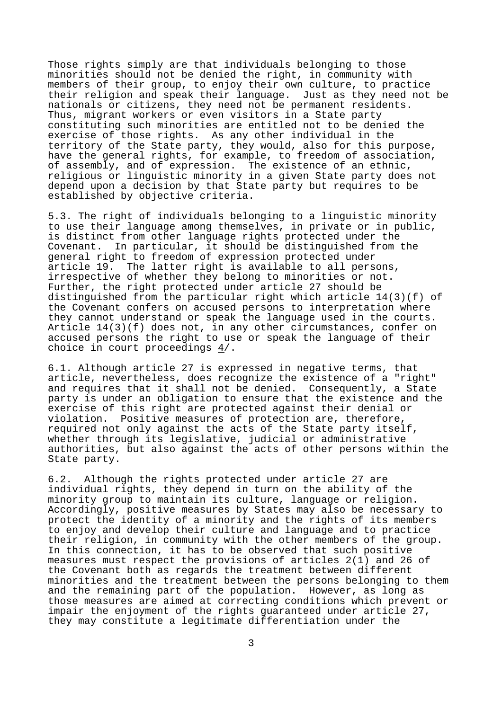Those rights simply are that individuals belonging to those minorities should not be denied the right, in community with members of their group, to enjoy their own culture, to practice their religion and speak their language. Just as they need not be nationals or citizens, they need not be permanent residents. Thus, migrant workers or even visitors in a State party constituting such minorities are entitled not to be denied the exercise of those rights. As any other individual in the territory of the State party, they would, also for this purpose, have the general rights, for example, to freedom of association, of assembly, and of expression. The existence of an ethnic, religious or linguistic minority in a given State party does not depend upon a decision by that State party but requires to be established by objective criteria.

5.3. The right of individuals belonging to a linguistic minority to use their language among themselves, in private or in public, is distinct from other language rights protected under the Covenant. In particular, it should be distinguished from the general right to freedom of expression protected under article 19. The latter right is available to all persons, irrespective of whether they belong to minorities or not. Further, the right protected under article 27 should be distinguished from the particular right which article 14(3)(f) of the Covenant confers on accused persons to interpretation where they cannot understand or speak the language used in the courts. Article 14(3)(f) does not, in any other circumstances, confer on accused persons the right to use or speak the language of their choice in court proceedings 4/.

6.1. Although article 27 is expressed in negative terms, that article, nevertheless, does recognize the existence of a "right" and requires that it shall not be denied. Consequently, a State party is under an obligation to ensure that the existence and the exercise of this right are protected against their denial or<br>violation. Positive measures of protection are, therefore, Positive measures of protection are, therefore, required not only against the acts of the State party itself, whether through its legislative, judicial or administrative authorities, but also against the acts of other persons within the State party.

6.2. Although the rights protected under article 27 are individual rights, they depend in turn on the ability of the minority group to maintain its culture, language or religion. Accordingly, positive measures by States may also be necessary to protect the identity of a minority and the rights of its members to enjoy and develop their culture and language and to practice their religion, in community with the other members of the group. In this connection, it has to be observed that such positive measures must respect the provisions of articles 2(1) and 26 of the Covenant both as regards the treatment between different minorities and the treatment between the persons belonging to them and the remaining part of the population. However, as long as those measures are aimed at correcting conditions which prevent or impair the enjoyment of the rights guaranteed under article 27, they may constitute a legitimate differentiation under the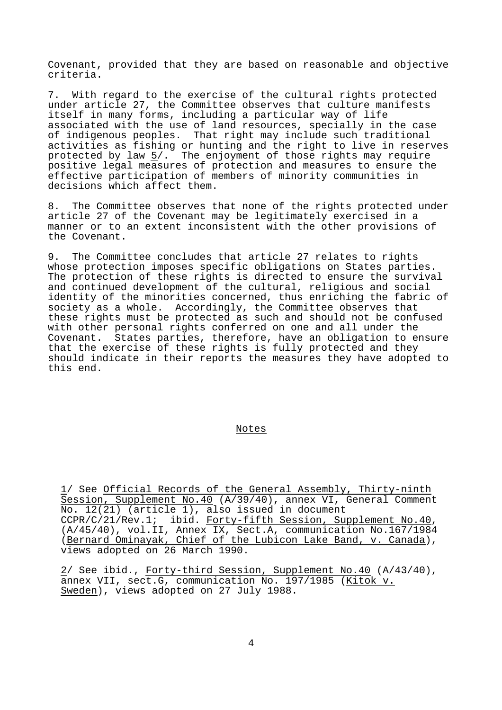Covenant, provided that they are based on reasonable and objective criteria.

7. With regard to the exercise of the cultural rights protected under article 27, the Committee observes that culture manifests itself in many forms, including a particular way of life associated with the use of land resources, specially in the case of indigenous peoples. That right may include such traditional activities as fishing or hunting and the right to live in reserves protected by law  $\frac{5}{7}$ . The enjoyment of those rights may require positive legal measures of protection and measures to ensure the effective participation of members of minority communities in decisions which affect them.

8. The Committee observes that none of the rights protected under article 27 of the Covenant may be legitimately exercised in a manner or to an extent inconsistent with the other provisions of the Covenant.

9. The Committee concludes that article 27 relates to rights whose protection imposes specific obligations on States parties. The protection of these rights is directed to ensure the survival and continued development of the cultural, religious and social identity of the minorities concerned, thus enriching the fabric of society as a whole. Accordingly, the Committee observes that these rights must be protected as such and should not be confused with other personal rights conferred on one and all under the Covenant. States parties, therefore, have an obligation to ensure that the exercise of these rights is fully protected and they should indicate in their reports the measures they have adopted to this end.

## Notes

1/ See Official Records of the General Assembly, Thirty-ninth Session, Supplement No.40 (A/39/40), annex VI, General Comment No. 12(21) (article 1), also issued in document<br>CCPR/C/21/Rev.1; ibid. Forty-fifth Session, Supplement No.40, CCPR/C/21/Rev.1; ibid. Forty-fifth Session, Supplement No.40,<br>(A/45/40), vol.II, Annex IX, Sect.A, communication No.167/1984 (Bernard Ominayak, Chief of the Lubicon Lake Band, v. Canada), views adopted on 26 March 1990.

2/ See ibid., Forty-third Session, Supplement No.40 (A/43/40), annex VII, sect.G, communication No. 197/1985 (Kitok v. Sweden), views adopted on 27 July 1988.